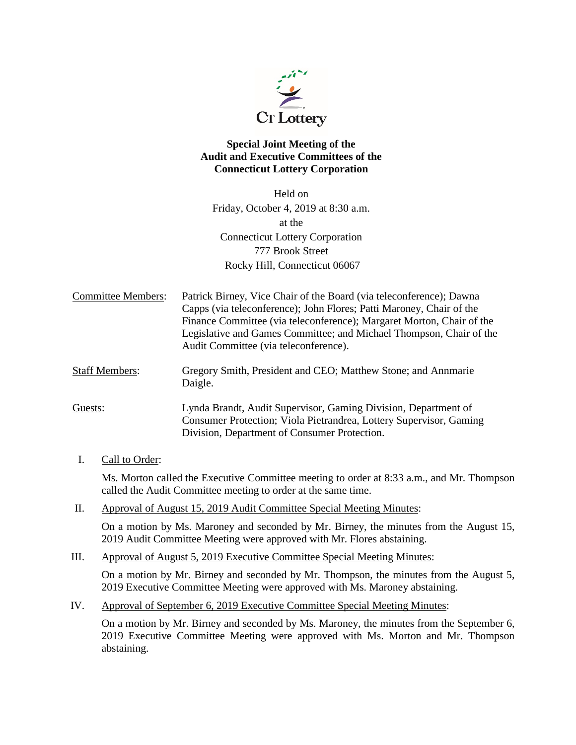

# **Special Joint Meeting of the Audit and Executive Committees of the Connecticut Lottery Corporation**

Held on Friday, October 4, 2019 at 8:30 a.m. at the Connecticut Lottery Corporation 777 Brook Street Rocky Hill, Connecticut 06067

Committee Members: Patrick Birney, Vice Chair of the Board (via teleconference); Dawna Capps (via teleconference); John Flores; Patti Maroney, Chair of the Finance Committee (via teleconference); Margaret Morton, Chair of the Legislative and Games Committee; and Michael Thompson, Chair of the Audit Committee (via teleconference).

Staff Members: Gregory Smith, President and CEO; Matthew Stone; and Annmarie Daigle.

Guests: Lynda Brandt, Audit Supervisor, Gaming Division, Department of Consumer Protection; Viola Pietrandrea, Lottery Supervisor, Gaming Division, Department of Consumer Protection.

I. Call to Order:

Ms. Morton called the Executive Committee meeting to order at 8:33 a.m., and Mr. Thompson called the Audit Committee meeting to order at the same time.

II. Approval of August 15, 2019 Audit Committee Special Meeting Minutes:

On a motion by Ms. Maroney and seconded by Mr. Birney, the minutes from the August 15, 2019 Audit Committee Meeting were approved with Mr. Flores abstaining.

III. Approval of August 5, 2019 Executive Committee Special Meeting Minutes:

On a motion by Mr. Birney and seconded by Mr. Thompson, the minutes from the August 5, 2019 Executive Committee Meeting were approved with Ms. Maroney abstaining.

IV. Approval of September 6, 2019 Executive Committee Special Meeting Minutes:

On a motion by Mr. Birney and seconded by Ms. Maroney, the minutes from the September 6, 2019 Executive Committee Meeting were approved with Ms. Morton and Mr. Thompson abstaining.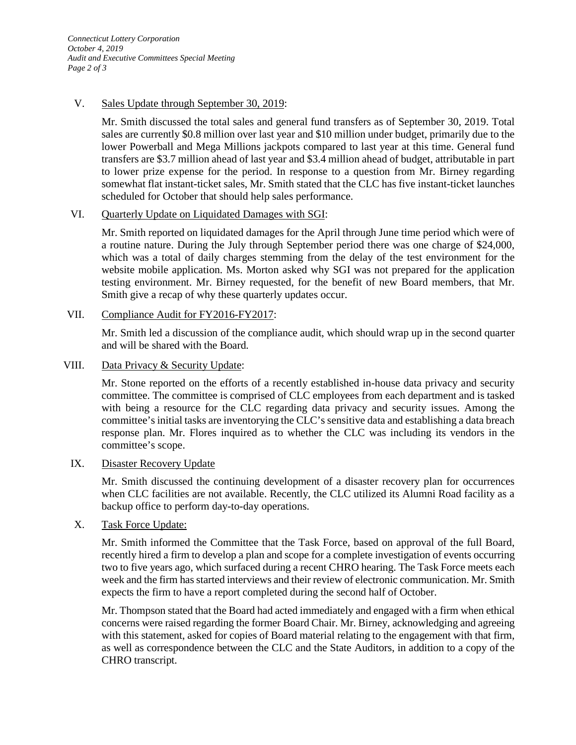### V. Sales Update through September 30, 2019:

Mr. Smith discussed the total sales and general fund transfers as of September 30, 2019. Total sales are currently \$0.8 million over last year and \$10 million under budget, primarily due to the lower Powerball and Mega Millions jackpots compared to last year at this time. General fund transfers are \$3.7 million ahead of last year and \$3.4 million ahead of budget, attributable in part to lower prize expense for the period. In response to a question from Mr. Birney regarding somewhat flat instant-ticket sales, Mr. Smith stated that the CLC has five instant-ticket launches scheduled for October that should help sales performance.

## VI. Quarterly Update on Liquidated Damages with SGI:

Mr. Smith reported on liquidated damages for the April through June time period which were of a routine nature. During the July through September period there was one charge of \$24,000, which was a total of daily charges stemming from the delay of the test environment for the website mobile application. Ms. Morton asked why SGI was not prepared for the application testing environment. Mr. Birney requested, for the benefit of new Board members, that Mr. Smith give a recap of why these quarterly updates occur.

## VII. Compliance Audit for FY2016-FY2017:

Mr. Smith led a discussion of the compliance audit, which should wrap up in the second quarter and will be shared with the Board.

### VIII. Data Privacy & Security Update:

Mr. Stone reported on the efforts of a recently established in-house data privacy and security committee. The committee is comprised of CLC employees from each department and is tasked with being a resource for the CLC regarding data privacy and security issues. Among the committee's initial tasks are inventorying the CLC's sensitive data and establishing a data breach response plan. Mr. Flores inquired as to whether the CLC was including its vendors in the committee's scope.

### IX. Disaster Recovery Update

Mr. Smith discussed the continuing development of a disaster recovery plan for occurrences when CLC facilities are not available. Recently, the CLC utilized its Alumni Road facility as a backup office to perform day-to-day operations.

# X. Task Force Update:

Mr. Smith informed the Committee that the Task Force, based on approval of the full Board, recently hired a firm to develop a plan and scope for a complete investigation of events occurring two to five years ago, which surfaced during a recent CHRO hearing. The Task Force meets each week and the firm has started interviews and their review of electronic communication. Mr. Smith expects the firm to have a report completed during the second half of October.

Mr. Thompson stated that the Board had acted immediately and engaged with a firm when ethical concerns were raised regarding the former Board Chair. Mr. Birney, acknowledging and agreeing with this statement, asked for copies of Board material relating to the engagement with that firm, as well as correspondence between the CLC and the State Auditors, in addition to a copy of the CHRO transcript.